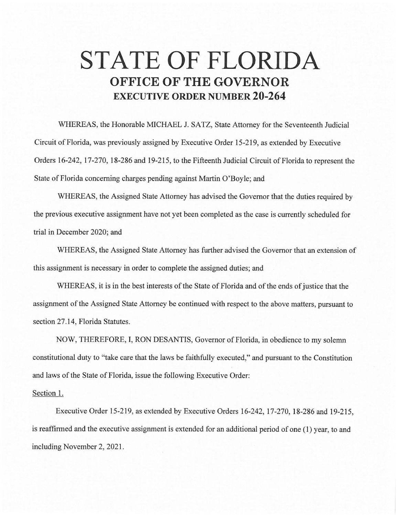## **STATE OF FLORIDA OFFICE OF THE GOVERNOR EXECUTIVE ORDER NUMBER 20-264**

WHEREAS, the Honorable MICHAEL J. SATZ, State Attorney for the Seventeenth Judicial Circuit of Florida, was previously assigned by Executive Order 15-219, as extended by Executive Orders 16-242, 17-270, 18-286 and 19-215, to the Fifteenth Judicial Circuit of Florida to represent the State of Florida concerning charges pending against Martin O'Boyle; and

WHEREAS, the Assigned State Attorney has advised the Governor that the duties required by the previous executive assignment have not yet been completed as the case is currently scheduled for trial in December 2020; and

WHEREAS, the Assigned State Attorney has further advised the Governor that an extension of this assignment is necessary in order to complete the assigned duties; and

WHEREAS, it is in the best interests of the State of Florida and of the ends of justice that the assignment of the Assigned State Attorney be continued with respect to the above matters, pursuant to section 27.14, Florida Statutes.

NOW, THEREFORE, I, RON DESANTIS, Governor of Florida, in obedience to my solemn constitutional duty to "take care that the laws be faithfully executed," and pursuant to the Constitution and laws of the State of Florida, issue the following Executive Order:

## Section 1.

Executive Order 15-219, as extended by Executive Orders 16-242, 17-270, 18-286 and 19-215, is reaffirmed and the executive assignment is extended for an additional period of one (1) year, to and including November 2, 2021 .